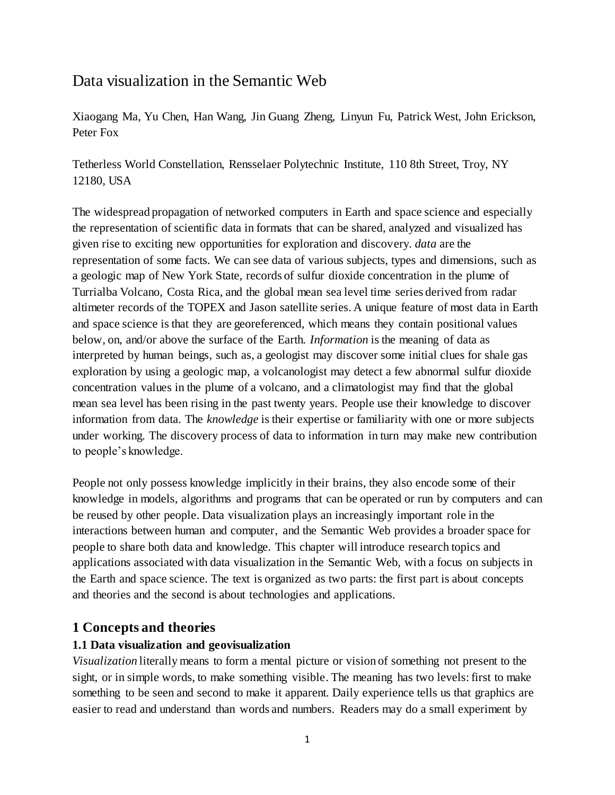# Data visualization in the Semantic Web

Xiaogang Ma, Yu Chen, Han Wang, Jin Guang Zheng, Linyun Fu, Patrick West, John Erickson, Peter Fox

Tetherless World Constellation, Rensselaer Polytechnic Institute, 110 8th Street, Troy, NY 12180, USA

The widespread propagation of networked computers in Earth and space science and especially the representation of scientific data in formats that can be shared, analyzed and visualized has given rise to exciting new opportunities for exploration and discovery. *data* are the representation of some facts. We can see data of various subjects, types and dimensions, such as a geologic map of New York State, records of sulfur dioxide concentration in the plume of Turrialba Volcano, Costa Rica, and the global mean sea level time series derived from radar altimeter records of the TOPEX and Jason satellite series. A unique feature of most data in Earth and space science is that they are georeferenced, which means they contain positional values below, on, and/or above the surface of the Earth. *Information* is the meaning of data as interpreted by human beings, such as, a geologist may discover some initial clues for shale gas exploration by using a geologic map, a volcanologist may detect a few abnormal sulfur dioxide concentration values in the plume of a volcano, and a climatologist may find that the global mean sea level has been rising in the past twenty years. People use their knowledge to discover information from data. The *knowledge* is their expertise or familiarity with one or more subjects under working. The discovery process of data to information in turn may make new contribution to people's knowledge.

People not only possess knowledge implicitly in their brains, they also encode some of their knowledge in models, algorithms and programs that can be operated or run by computers and can be reused by other people. Data visualization plays an increasingly important role in the interactions between human and computer, and the Semantic Web provides a broader space for people to share both data and knowledge. This chapter will introduce research topics and applications associated with data visualization in the Semantic Web, with a focus on subjects in the Earth and space science. The text is organized as two parts: the first part is about concepts and theories and the second is about technologies and applications.

# **1 Concepts and theories**

### **1.1 Data visualization and geovisualization**

*Visualization* literally means to form a mental picture or vision of something not present to the sight, or in simple words, to make something visible. The meaning has two levels: first to make something to be seen and second to make it apparent. Daily experience tells us that graphics are easier to read and understand than words and numbers. Readers may do a small experiment by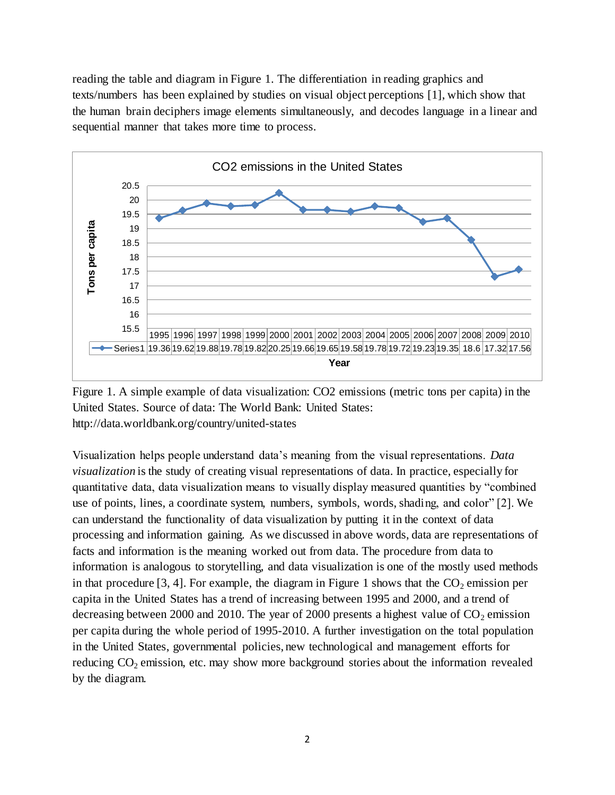reading the table and diagram in Figure 1. The differentiation in reading graphics and texts/numbers has been explained by studies on visual object perceptions [1], which show that the human brain deciphers image elements simultaneously, and decodes language in a linear and sequential manner that takes more time to process.



Figure 1. A simple example of data visualization: CO2 emissions (metric tons per capita) in the United States. Source of data: The World Bank: United States: http://data.worldbank.org/country/united-states

Visualization helps people understand data's meaning from the visual representations. *Data visualization* is the study of creating visual representations of data. In practice, especially for quantitative data, data visualization means to visually display measured quantities by "combined use of points, lines, a coordinate system, numbers, symbols, words, shading, and color" [2]. We can understand the functionality of data visualization by putting it in the context of data processing and information gaining. As we discussed in above words, data are representations of facts and information is the meaning worked out from data. The procedure from data to information is analogous to storytelling, and data visualization is one of the mostly used methods in that procedure [3, 4]. For example, the diagram in Figure 1 shows that the  $CO<sub>2</sub>$  emission per capita in the United States has a trend of increasing between 1995 and 2000, and a trend of decreasing between 2000 and 2010. The year of 2000 presents a highest value of  $CO<sub>2</sub>$  emission per capita during the whole period of 1995-2010. A further investigation on the total population in the United States, governmental policies, new technological and management efforts for reducing  $CO<sub>2</sub>$  emission, etc. may show more background stories about the information revealed by the diagram.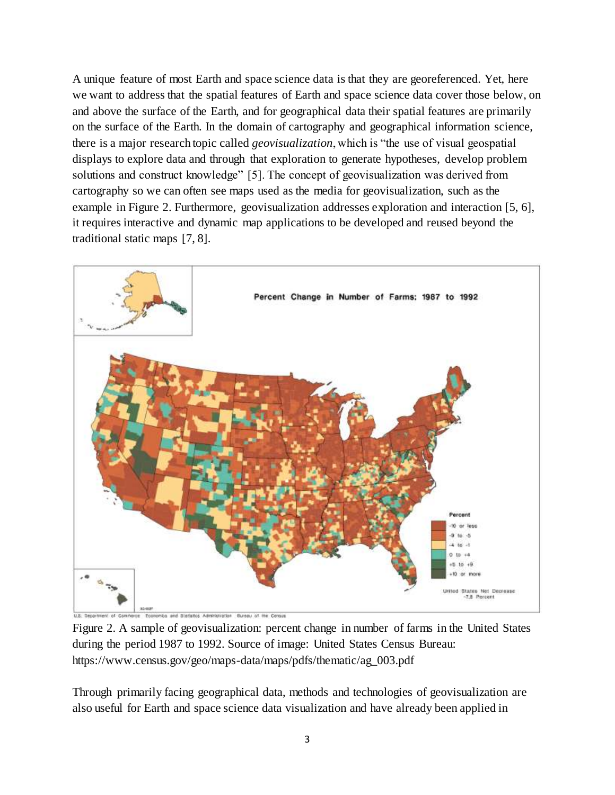A unique feature of most Earth and space science data is that they are georeferenced. Yet, here we want to address that the spatial features of Earth and space science data cover those below, on and above the surface of the Earth, and for geographical data their spatial features are primarily on the surface of the Earth. In the domain of cartography and geographical information science, there is a major research topic called *geovisualization*, which is "the use of visual geospatial displays to explore data and through that exploration to generate hypotheses, develop problem solutions and construct knowledge" [5]. The concept of geovisualization was derived from cartography so we can often see maps used as the media for geovisualization, such as the example in Figure 2. Furthermore, geovisualization addresses exploration and interaction [5, 6], it requires interactive and dynamic map applications to be developed and reused beyond the traditional static maps [7, 8].



Brissey of the Comm and Stadence Administration

Figure 2. A sample of geovisualization: percent change in number of farms in the United States during the period 1987 to 1992. Source of image: United States Census Bureau: https://www.census.gov/geo/maps-data/maps/pdfs/thematic/ag\_003.pdf

Through primarily facing geographical data, methods and technologies of geovisualization are also useful for Earth and space science data visualization and have already been applied in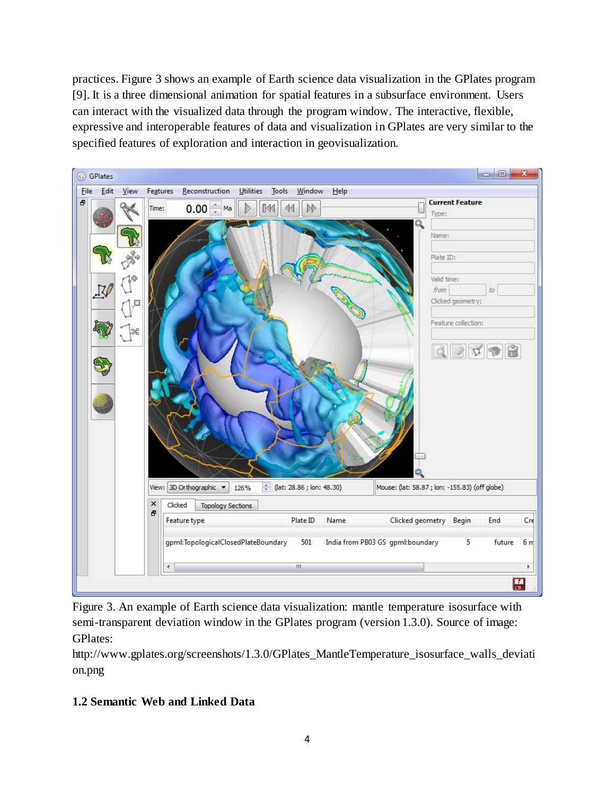practices. Figure 3 shows an example of Earth science data visualization in the GPlates program [9]. It is a three dimensional animation for spatial features in a subsurface environment. Users can interact with the visualized data through the program window. The interactive, flexible, expressive and interoperable features of data and visualization in GPlates are very similar to the specified features of exploration and interaction in geovisualization.



Figure 3. An example of Earth science data visualization: mantle temperature isosurface with semi-transparent deviation window in the GPlates program (version 1.3.0). Source of image: GPlates:

http://www.gplates.org/screenshots/1.3.0/GPlates\_MantleTemperature\_isosurface\_walls\_deviati on.png

# **1.2 Semantic Web and Linked Data**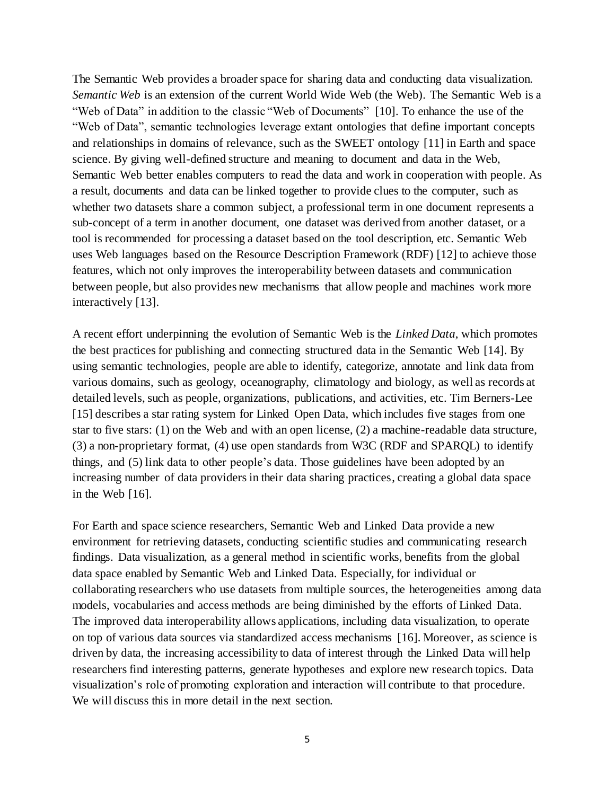The Semantic Web provides a broader space for sharing data and conducting data visualization. *Semantic Web* is an extension of the current World Wide Web (the Web). The Semantic Web is a "Web of Data" in addition to the classic "Web of Documents" [10]. To enhance the use of the "Web of Data", semantic technologies leverage extant ontologies that define important concepts and relationships in domains of relevance, such as the SWEET ontology [11] in Earth and space science. By giving well-defined structure and meaning to document and data in the Web, Semantic Web better enables computers to read the data and work in cooperation with people. As a result, documents and data can be linked together to provide clues to the computer, such as whether two datasets share a common subject, a professional term in one document represents a sub-concept of a term in another document, one dataset was derived from another dataset, or a tool is recommended for processing a dataset based on the tool description, etc. Semantic Web uses Web languages based on the Resource Description Framework (RDF) [12] to achieve those features, which not only improves the interoperability between datasets and communication between people, but also provides new mechanisms that allow people and machines work more interactively [13].

A recent effort underpinning the evolution of Semantic Web is the *Linked Data*, which promotes the best practices for publishing and connecting structured data in the Semantic Web [14]. By using semantic technologies, people are able to identify, categorize, annotate and link data from various domains, such as geology, oceanography, climatology and biology, as well as records at detailed levels, such as people, organizations, publications, and activities, etc. Tim Berners-Lee [15] describes a star rating system for Linked Open Data, which includes five stages from one star to five stars: (1) on the Web and with an open license, (2) a machine-readable data structure, (3) a non-proprietary format, (4) use open standards from W3C (RDF and SPARQL) to identify things, and (5) link data to other people's data. Those guidelines have been adopted by an increasing number of data providers in their data sharing practices, creating a global data space in the Web [16].

For Earth and space science researchers, Semantic Web and Linked Data provide a new environment for retrieving datasets, conducting scientific studies and communicating research findings. Data visualization, as a general method in scientific works, benefits from the global data space enabled by Semantic Web and Linked Data. Especially, for individual or collaborating researchers who use datasets from multiple sources, the heterogeneities among data models, vocabularies and access methods are being diminished by the efforts of Linked Data. The improved data interoperability allows applications, including data visualization, to operate on top of various data sources via standardized access mechanisms [16]. Moreover, as science is driven by data, the increasing accessibility to data of interest through the Linked Data will help researchers find interesting patterns, generate hypotheses and explore new research topics. Data visualization's role of promoting exploration and interaction will contribute to that procedure. We will discuss this in more detail in the next section.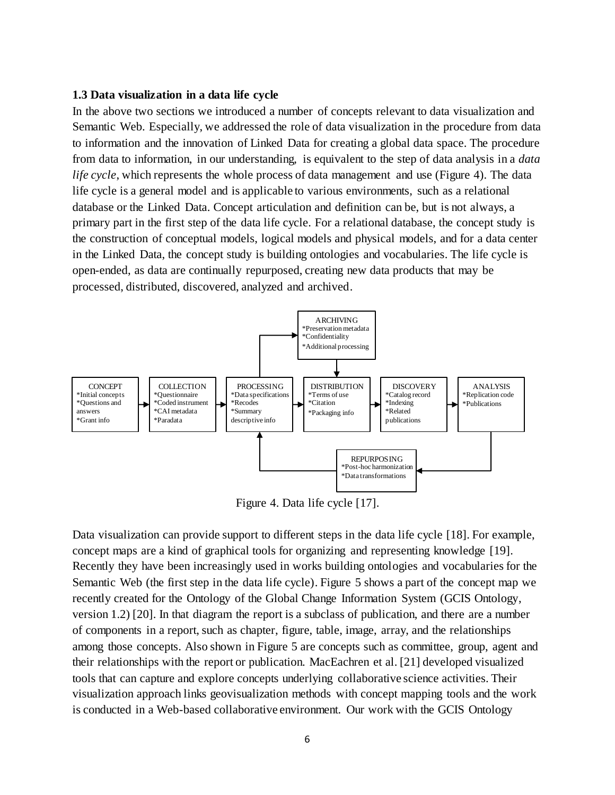#### **1.3 Data visualization in a data life cycle**

In the above two sections we introduced a number of concepts relevant to data visualization and Semantic Web. Especially, we addressed the role of data visualization in the procedure from data to information and the innovation of Linked Data for creating a global data space. The procedure from data to information, in our understanding, is equivalent to the step of data analysis in a *data life cycle*, which represents the whole process of data management and use (Figure 4). The data life cycle is a general model and is applicable to various environments, such as a relational database or the Linked Data. Concept articulation and definition can be, but is not always, a primary part in the first step of the data life cycle. For a relational database, the concept study is the construction of conceptual models, logical models and physical models, and for a data center in the Linked Data, the concept study is building ontologies and vocabularies. The life cycle is open-ended, as data are continually repurposed, creating new data products that may be processed, distributed, discovered, analyzed and archived.



Figure 4. Data life cycle [17].

Data visualization can provide support to different steps in the data life cycle [18]. For example, concept maps are a kind of graphical tools for organizing and representing knowledge [19]. Recently they have been increasingly used in works building ontologies and vocabularies for the Semantic Web (the first step in the data life cycle). Figure 5 shows a part of the concept map we recently created for the Ontology of the Global Change Information System (GCIS Ontology, version 1.2) [20]. In that diagram the report is a subclass of publication, and there are a number of components in a report, such as chapter, figure, table, image, array, and the relationships among those concepts. Also shown in Figure 5 are concepts such as committee, group, agent and their relationships with the report or publication. MacEachren et al. [21] developed visualized tools that can capture and explore concepts underlying collaborative science activities. Their visualization approach links geovisualization methods with concept mapping tools and the work is conducted in a Web-based collaborative environment. Our work with the GCIS Ontology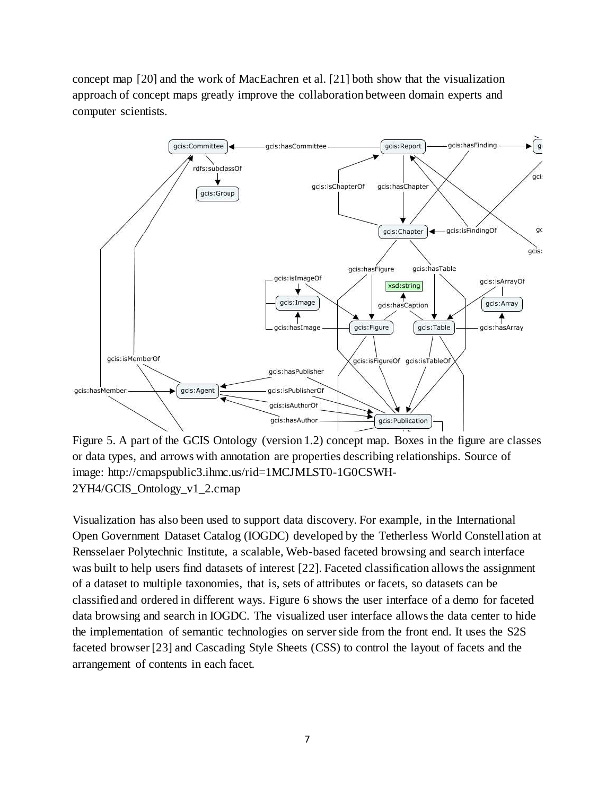concept map [20] and the work of MacEachren et al. [21] both show that the visualization approach of concept maps greatly improve the collaboration between domain experts and computer scientists.



Figure 5. A part of the GCIS Ontology (version 1.2) concept map. Boxes in the figure are classes or data types, and arrows with annotation are properties describing relationships. Source of image: http://cmapspublic3.ihmc.us/rid=1MCJMLST0-1G0CSWH-2YH4/GCIS\_Ontology\_v1\_2.cmap

Visualization has also been used to support data discovery. For example, in the International Open Government Dataset Catalog (IOGDC) developed by the Tetherless World Constellation at Rensselaer Polytechnic Institute, a scalable, Web-based faceted browsing and search interface was built to help users find datasets of interest [22]. Faceted classification allows the assignment of a dataset to multiple taxonomies, that is, sets of attributes or facets, so datasets can be classified and ordered in different ways. Figure 6 shows the user interface of a demo for faceted data browsing and search in IOGDC. The visualized user interface allows the data center to hide the implementation of semantic technologies on server side from the front end. It uses the S2S faceted browser [23] and Cascading Style Sheets (CSS) to control the layout of facets and the arrangement of contents in each facet.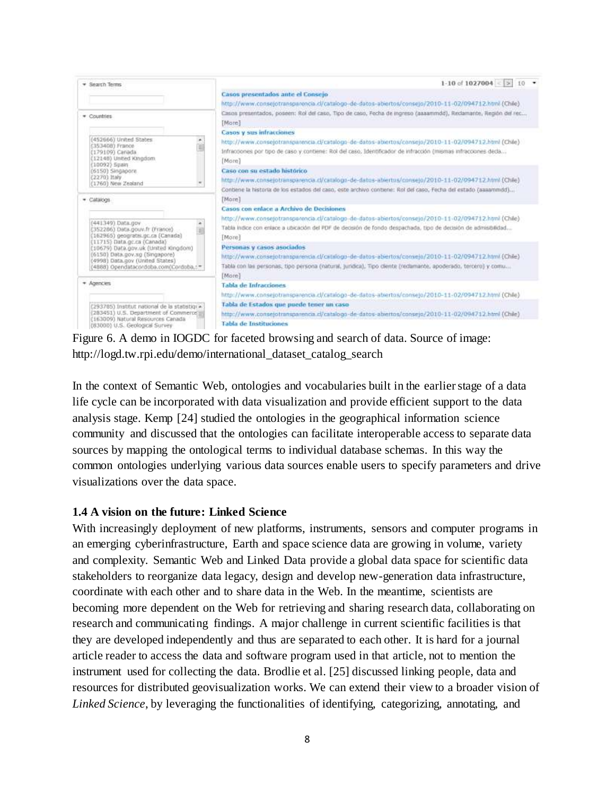

Figure 6. A demo in IOGDC for faceted browsing and search of data. Source of image: http://logd.tw.rpi.edu/demo/international\_dataset\_catalog\_search

In the context of Semantic Web, ontologies and vocabularies built in the earlier stage of a data life cycle can be incorporated with data visualization and provide efficient support to the data analysis stage. Kemp [24] studied the ontologies in the geographical information science community and discussed that the ontologies can facilitate interoperable access to separate data sources by mapping the ontological terms to individual database schemas. In this way the common ontologies underlying various data sources enable users to specify parameters and drive visualizations over the data space.

#### **1.4 A vision on the future: Linked Science**

With increasingly deployment of new platforms, instruments, sensors and computer programs in an emerging cyberinfrastructure, Earth and space science data are growing in volume, variety and complexity. Semantic Web and Linked Data provide a global data space for scientific data stakeholders to reorganize data legacy, design and develop new-generation data infrastructure, coordinate with each other and to share data in the Web. In the meantime, scientists are becoming more dependent on the Web for retrieving and sharing research data, collaborating on research and communicating findings. A major challenge in current scientific facilities is that they are developed independently and thus are separated to each other. It is hard for a journal article reader to access the data and software program used in that article, not to mention the instrument used for collecting the data. Brodlie et al. [25] discussed linking people, data and resources for distributed geovisualization works. We can extend their view to a broader vision of *Linked Science*, by leveraging the functionalities of identifying, categorizing, annotating, and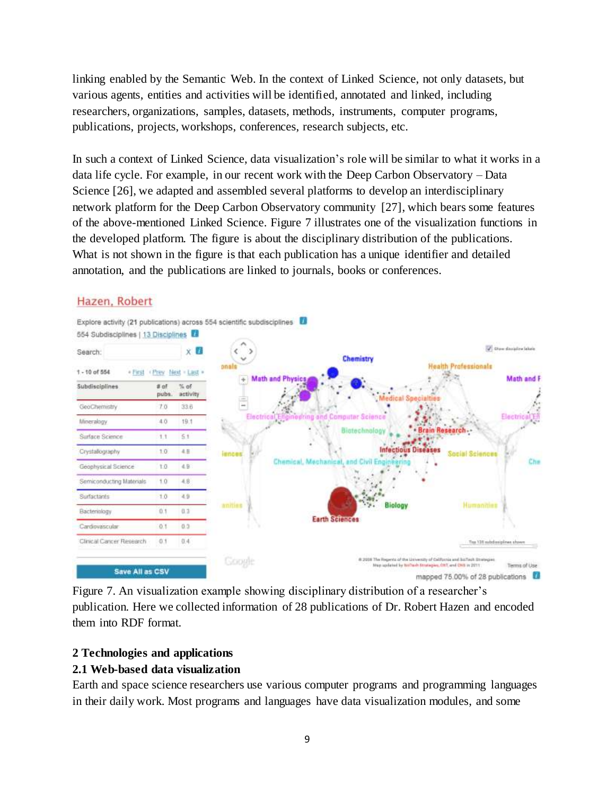linking enabled by the Semantic Web. In the context of Linked Science, not only datasets, but various agents, entities and activities will be identified, annotated and linked, including researchers, organizations, samples, datasets, methods, instruments, computer programs, publications, projects, workshops, conferences, research subjects, etc.

In such a context of Linked Science, data visualization's role will be similar to what it works in a data life cycle. For example, in our recent work with the Deep Carbon Observatory – Data Science [26], we adapted and assembled several platforms to develop an interdisciplinary network platform for the Deep Carbon Observatory community [27], which bears some features of the above-mentioned Linked Science. Figure 7 illustrates one of the visualization functions in the developed platform. The figure is about the disciplinary distribution of the publications. What is not shown in the figure is that each publication has a unique identifier and detailed annotation, and the publications are linked to journals, books or conferences.

### Hazen, Robert



Figure 7. An visualization example showing disciplinary distribution of a researcher's publication. Here we collected information of 28 publications of Dr. Robert Hazen and encoded them into RDF format.

#### **2 Technologies and applications**

### **2.1 Web-based data visualization**

Earth and space science researchers use various computer programs and programming languages in their daily work. Most programs and languages have data visualization modules, and some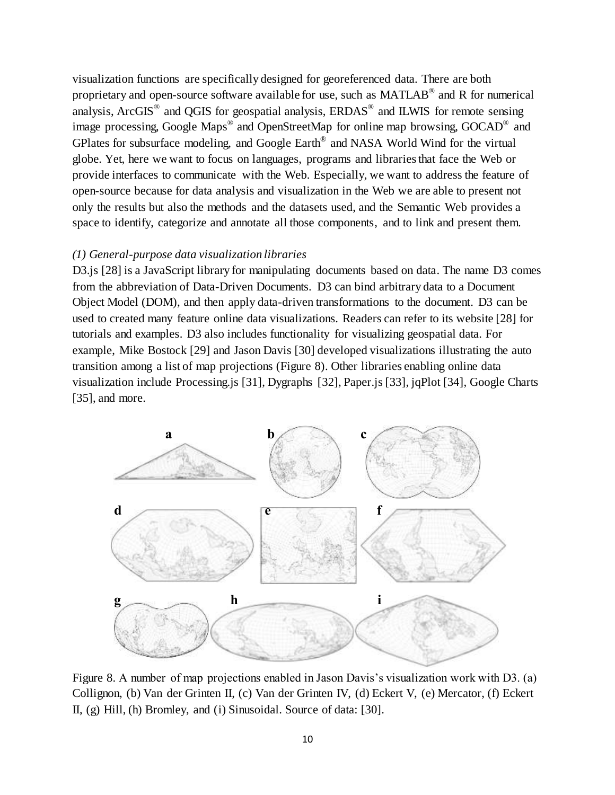visualization functions are specifically designed for georeferenced data. There are both proprietary and open-source software available for use, such as MATLAB® and R for numerical analysis, ArcGIS<sup>®</sup> and QGIS for geospatial analysis, ERDAS<sup>®</sup> and ILWIS for remote sensing image processing, Google Maps<sup>®</sup> and OpenStreetMap for online map browsing, GOCAD<sup>®</sup> and GPlates for subsurface modeling, and Google Earth<sup>®</sup> and NASA World Wind for the virtual globe. Yet, here we want to focus on languages, programs and libraries that face the Web or provide interfaces to communicate with the Web. Especially, we want to address the feature of open-source because for data analysis and visualization in the Web we are able to present not only the results but also the methods and the datasets used, and the Semantic Web provides a space to identify, categorize and annotate all those components, and to link and present them.

#### *(1) General-purpose data visualization libraries*

D3.js [28] is a JavaScript library for manipulating documents based on data. The name D3 comes from the abbreviation of Data-Driven Documents. D3 can bind arbitrary data to a Document Object Model (DOM), and then apply data-driven transformations to the document. D3 can be used to created many feature online data visualizations. Readers can refer to its website [28] for tutorials and examples. D3 also includes functionality for visualizing geospatial data. For example, Mike Bostock [29] and Jason Davis [30] developed visualizations illustrating the auto transition among a list of map projections (Figure 8). Other libraries enabling online data visualization include Processing.js [31], Dygraphs [32], Paper.js [33], jqPlot [34], Google Charts [35], and more.



Figure 8. A number of map projections enabled in Jason Davis's visualization work with D3. (a) Collignon, (b) Van der Grinten II, (c) Van der Grinten IV, (d) Eckert V, (e) Mercator, (f) Eckert II, (g) Hill, (h) Bromley, and (i) Sinusoidal. Source of data: [30].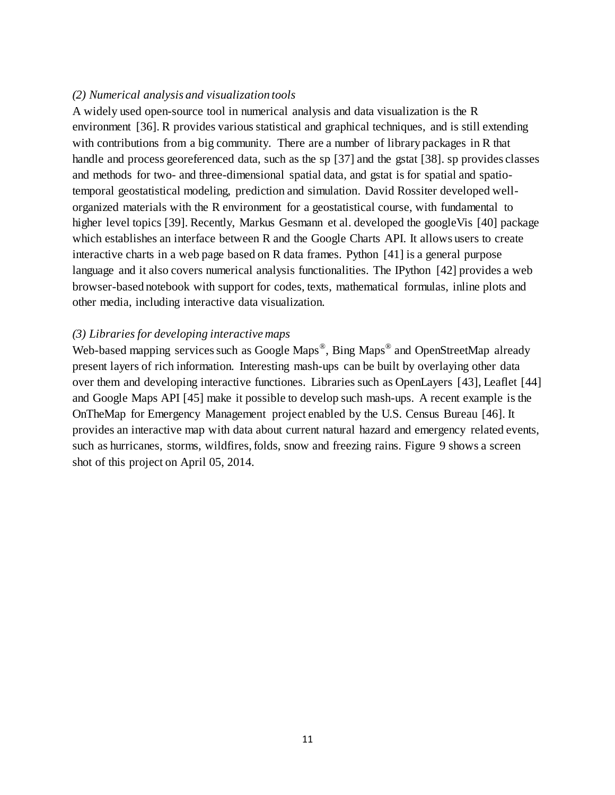#### *(2) Numerical analysis and visualization tools*

A widely used open-source tool in numerical analysis and data visualization is the R environment [36]. R provides various statistical and graphical techniques, and is still extending with contributions from a big community. There are a number of library packages in R that handle and process georeferenced data, such as the sp [37] and the gstat [38]. sp provides classes and methods for two- and three-dimensional spatial data, and gstat is for spatial and spatiotemporal geostatistical modeling, prediction and simulation. David Rossiter developed wellorganized materials with the R environment for a geostatistical course, with fundamental to higher level topics [39]. Recently, Markus Gesmann et al. developed the googleVis [40] package which establishes an interface between R and the Google Charts API. It allows users to create interactive charts in a web page based on R data frames. Python [41] is a general purpose language and it also covers numerical analysis functionalities. The IPython [42] provides a web browser-based notebook with support for codes, texts, mathematical formulas, inline plots and other media, including interactive data visualization.

#### *(3) Libraries for developing interactive maps*

Web-based mapping services such as Google Maps<sup>®</sup>, Bing Maps<sup>®</sup> and OpenStreetMap already present layers of rich information. Interesting mash-ups can be built by overlaying other data over them and developing interactive functiones. Libraries such as OpenLayers [43], Leaflet [44] and Google Maps API [45] make it possible to develop such mash-ups. A recent example is the OnTheMap for Emergency Management project enabled by the U.S. Census Bureau [46]. It provides an interactive map with data about current natural hazard and emergency related events, such as hurricanes, storms, wildfires, folds, snow and freezing rains. Figure 9 shows a screen shot of this project on April 05, 2014.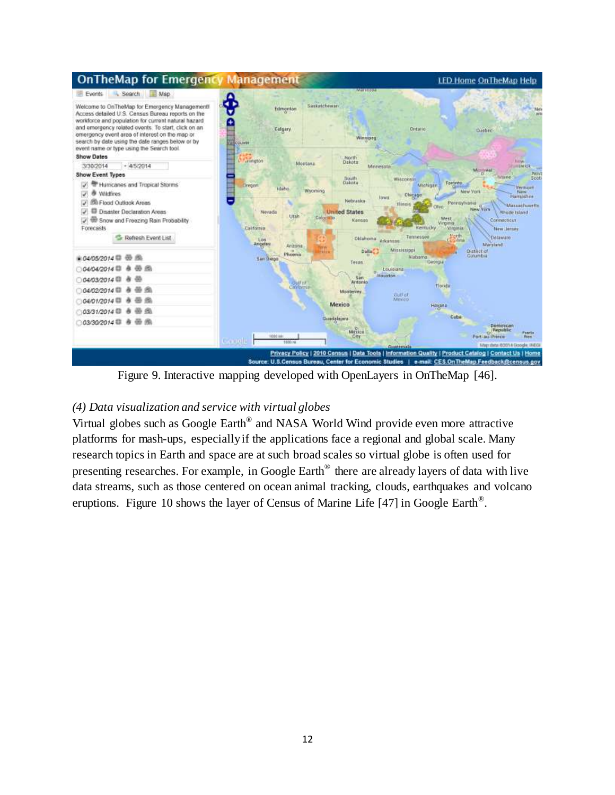

Figure 9. Interactive mapping developed with OpenLayers in OnTheMap [46].

### *(4) Data visualization and service with virtual globes*

Virtual globes such as Google Earth® and NASA World Wind provide even more attractive platforms for mash-ups, especially if the applications face a regional and global scale. Many research topics in Earth and space are at such broad scales so virtual globe is often used for presenting researches. For example, in Google Earth<sup>®</sup> there are already layers of data with live data streams, such as those centered on ocean animal tracking, clouds, earthquakes and volcano eruptions. Figure 10 shows the layer of Census of Marine Life [47] in Google Earth<sup>®</sup>.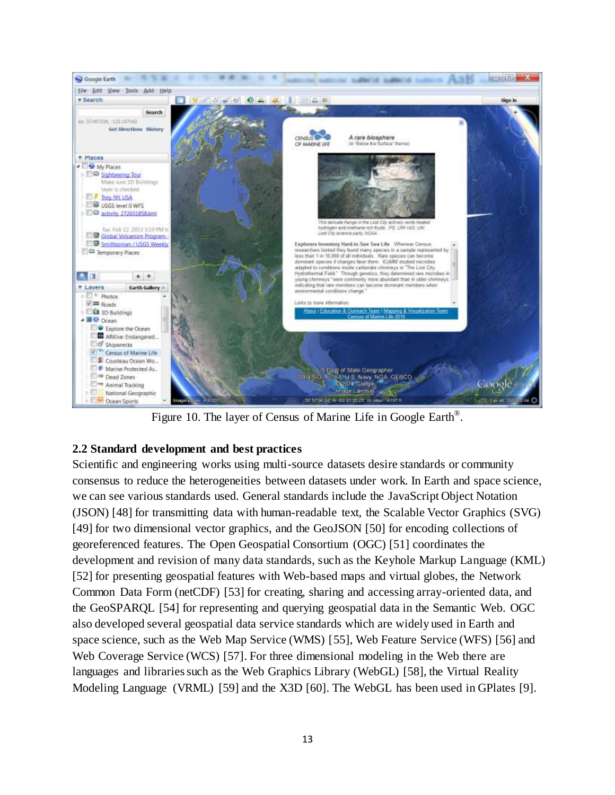

Figure 10. The layer of Census of Marine Life in Google Earth®.

# **2.2 Standard development and best practices**

Scientific and engineering works using multi-source datasets desire standards or community consensus to reduce the heterogeneities between datasets under work. In Earth and space science, we can see various standards used. General standards include the JavaScript Object Notation (JSON) [48] for transmitting data with human-readable text, the Scalable Vector Graphics (SVG) [49] for two dimensional vector graphics, and the GeoJSON [50] for encoding collections of georeferenced features. The Open Geospatial Consortium (OGC) [51] coordinates the development and revision of many data standards, such as the Keyhole Markup Language (KML) [52] for presenting geospatial features with Web-based maps and virtual globes, the Network Common Data Form (netCDF) [53] for creating, sharing and accessing array-oriented data, and the GeoSPARQL [54] for representing and querying geospatial data in the Semantic Web. OGC also developed several geospatial data service standards which are widely used in Earth and space science, such as the Web Map Service (WMS) [55], Web Feature Service (WFS) [56] and Web Coverage Service (WCS) [57]. For three dimensional modeling in the Web there are languages and libraries such as the Web Graphics Library (WebGL) [58], the Virtual Reality Modeling Language (VRML) [59] and the X3D [60]. The WebGL has been used in GPlates [9].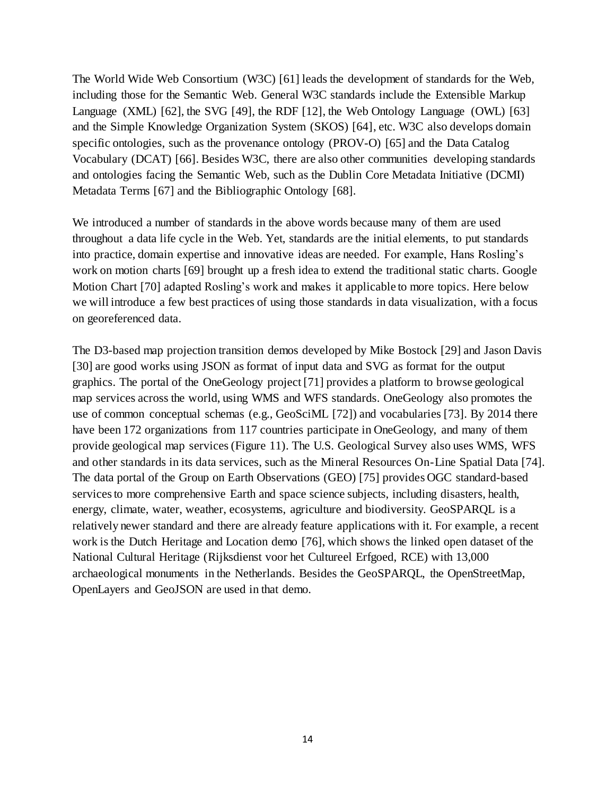The World Wide Web Consortium (W3C) [61] leads the development of standards for the Web, including those for the Semantic Web. General W3C standards include the Extensible Markup Language (XML) [62], the SVG [49], the RDF [12], the Web Ontology Language (OWL) [63] and the Simple Knowledge Organization System (SKOS) [64], etc. W3C also develops domain specific ontologies, such as the provenance ontology (PROV-O) [65] and the Data Catalog Vocabulary (DCAT) [66]. Besides W3C, there are also other communities developing standards and ontologies facing the Semantic Web, such as the Dublin Core Metadata Initiative (DCMI) Metadata Terms [67] and the Bibliographic Ontology [68].

We introduced a number of standards in the above words because many of them are used throughout a data life cycle in the Web. Yet, standards are the initial elements, to put standards into practice, domain expertise and innovative ideas are needed. For example, Hans Rosling's work on motion charts [69] brought up a fresh idea to extend the traditional static charts. Google Motion Chart [70] adapted Rosling's work and makes it applicable to more topics. Here below we will introduce a few best practices of using those standards in data visualization, with a focus on georeferenced data.

The D3-based map projection transition demos developed by Mike Bostock [29] and Jason Davis [30] are good works using JSON as format of input data and SVG as format for the output graphics. The portal of the OneGeology project [71] provides a platform to browse geological map services across the world, using WMS and WFS standards. OneGeology also promotes the use of common conceptual schemas (e.g., GeoSciML [72]) and vocabularies [73]. By 2014 there have been 172 organizations from 117 countries participate in OneGeology, and many of them provide geological map services(Figure 11). The U.S. Geological Survey also uses WMS, WFS and other standards in its data services, such as the Mineral Resources On-Line Spatial Data [74]. The data portal of the Group on Earth Observations (GEO) [75] provides OGC standard-based services to more comprehensive Earth and space science subjects, including disasters, health, energy, climate, water, weather, ecosystems, agriculture and biodiversity. GeoSPARQL is a relatively newer standard and there are already feature applications with it. For example, a recent work is the Dutch Heritage and Location demo [76], which shows the linked open dataset of the National Cultural Heritage (Rijksdienst voor het Cultureel Erfgoed, RCE) with 13,000 archaeological monuments in the Netherlands. Besides the GeoSPARQL, the OpenStreetMap, OpenLayers and GeoJSON are used in that demo.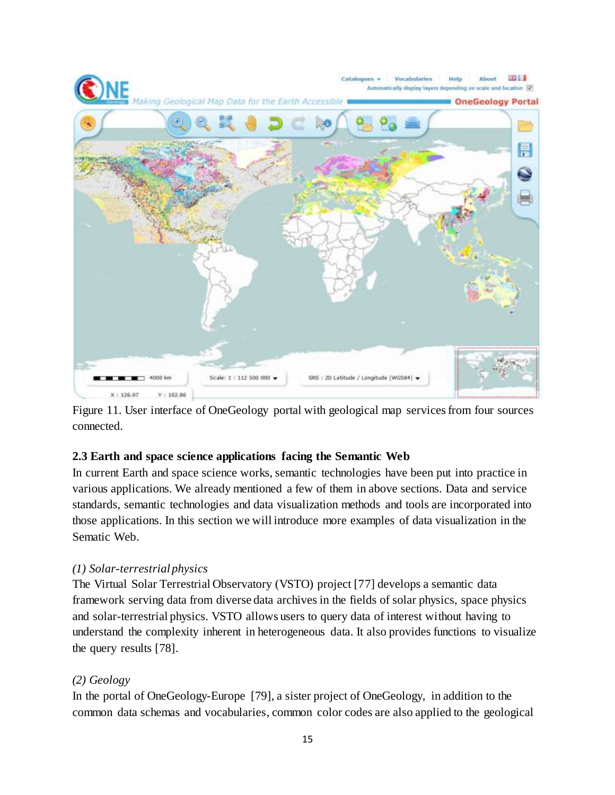

Figure 11. User interface of OneGeology portal with geological map services from four sources connected.

### **2.3 Earth and space science applications facing the Semantic Web**

In current Earth and space science works, semantic technologies have been put into practice in various applications. We already mentioned a few of them in above sections. Data and service standards, semantic technologies and data visualization methods and tools are incorporated into those applications. In this section we will introduce more examples of data visualization in the Sematic Web.

# *(1) Solar-terrestrial physics*

The Virtual Solar Terrestrial Observatory (VSTO) project [77] develops a semantic data framework serving data from diverse data archives in the fields of solar physics, space physics and solar-terrestrial physics. VSTO allows users to query data of interest without having to understand the complexity inherent in heterogeneous data. It also provides functions to visualize the query results [78].

# *(2) Geology*

In the portal of OneGeology-Europe [79], a sister project of OneGeology, in addition to the common data schemas and vocabularies, common color codes are also applied to the geological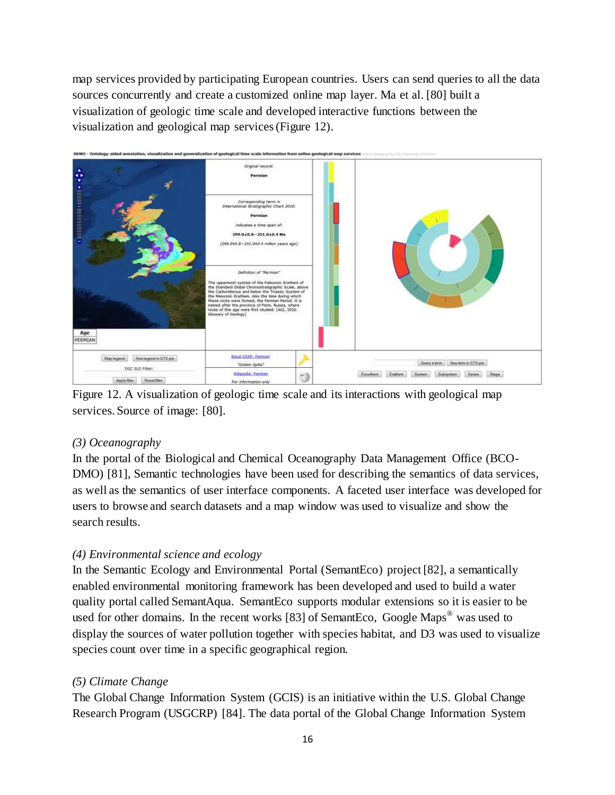map services provided by participating European countries. Users can send queries to all the data sources concurrently and create a customized online map layer. Ma et al. [80] built a visualization of geologic time scale and developed interactive functions between the visualization and geological map services (Figure 12).



Figure 12. A visualization of geologic time scale and its interactions with geological map services. Source of image: [80].

# *(3) Oceanography*

In the portal of the Biological and Chemical Oceanography Data Management Office (BCO-DMO) [81], Semantic technologies have been used for describing the semantics of data services, as well as the semantics of user interface components. A faceted user interface was developed for users to browse and search datasets and a map window was used to visualize and show the search results.

# *(4) Environmental science and ecology*

In the Semantic Ecology and Environmental Portal (SemantEco) project [82], a semantically enabled environmental monitoring framework has been developed and used to build a water quality portal called SemantAqua. SemantEco supports modular extensions so it is easier to be used for other domains. In the recent works [83] of SemantEco, Google Maps<sup>®</sup> was used to display the sources of water pollution together with species habitat, and D3 was used to visualize species count over time in a specific geographical region.

# *(5) Climate Change*

The Global Change Information System (GCIS) is an initiative within the U.S. Global Change Research Program (USGCRP) [84]. The data portal of the Global Change Information System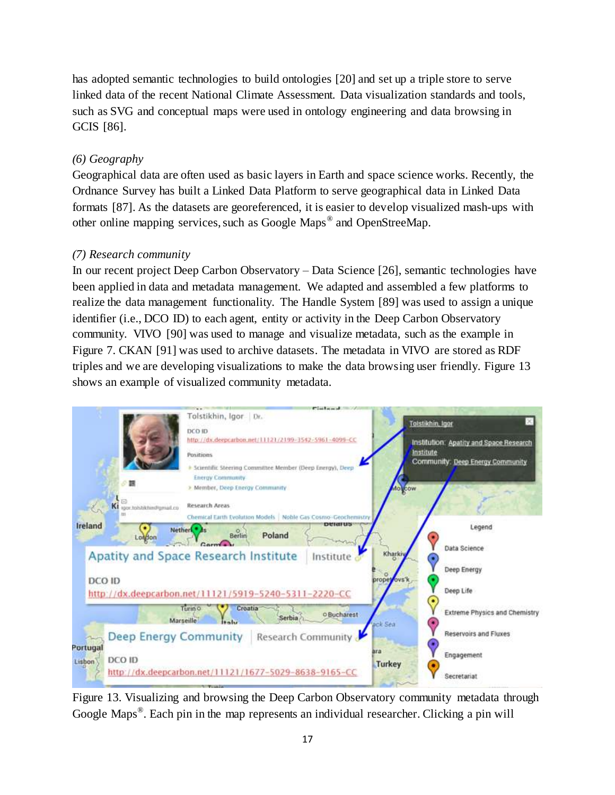has adopted semantic technologies to build ontologies [20] and set up a triple store to serve linked data of the recent National Climate Assessment. Data visualization standards and tools, such as SVG and conceptual maps were used in ontology engineering and data browsing in GCIS [86].

# *(6) Geography*

Geographical data are often used as basic layers in Earth and space science works. Recently, the Ordnance Survey has built a Linked Data Platform to serve geographical data in Linked Data formats [87]. As the datasets are georeferenced, it is easier to develop visualized mash-ups with other online mapping services, such as Google Maps<sup>®</sup> and OpenStreeMap.

### *(7) Research community*

In our recent project Deep Carbon Observatory – Data Science [26], semantic technologies have been applied in data and metadata management. We adapted and assembled a few platforms to realize the data management functionality. The Handle System [89] was used to assign a unique identifier (i.e., DCO ID) to each agent, entity or activity in the Deep Carbon Observatory community. VIVO [90] was used to manage and visualize metadata, such as the example in Figure 7. CKAN [91] was used to archive datasets. The metadata in VIVO are stored as RDF triples and we are developing visualizations to make the data browsing user friendly. Figure 13 shows an example of visualized community metadata.



Figure 13. Visualizing and browsing the Deep Carbon Observatory community metadata through Google Maps<sup>®</sup>. Each pin in the map represents an individual researcher. Clicking a pin will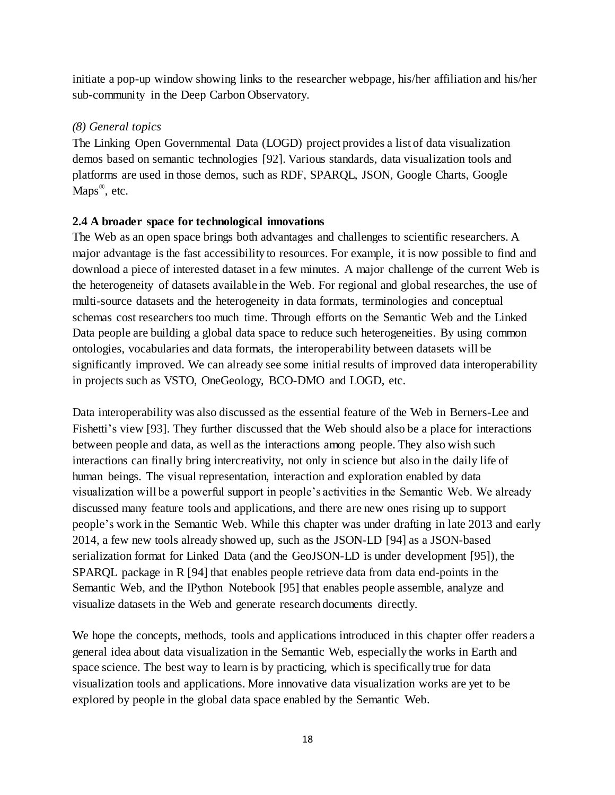initiate a pop-up window showing links to the researcher webpage, his/her affiliation and his/her sub-community in the Deep Carbon Observatory.

### *(8) General topics*

The Linking Open Governmental Data (LOGD) project provides a list of data visualization demos based on semantic technologies [92]. Various standards, data visualization tools and platforms are used in those demos, such as RDF, SPARQL, JSON, Google Charts, Google Maps<sup>®</sup>, etc.

### **2.4 A broader space for technological innovations**

The Web as an open space brings both advantages and challenges to scientific researchers. A major advantage is the fast accessibility to resources. For example, it is now possible to find and download a piece of interested dataset in a few minutes. A major challenge of the current Web is the heterogeneity of datasets available in the Web. For regional and global researches, the use of multi-source datasets and the heterogeneity in data formats, terminologies and conceptual schemas cost researchers too much time. Through efforts on the Semantic Web and the Linked Data people are building a global data space to reduce such heterogeneities. By using common ontologies, vocabularies and data formats, the interoperability between datasets will be significantly improved. We can already see some initial results of improved data interoperability in projects such as VSTO, OneGeology, BCO-DMO and LOGD, etc.

Data interoperability was also discussed as the essential feature of the Web in Berners-Lee and Fishetti's view [93]. They further discussed that the Web should also be a place for interactions between people and data, as well as the interactions among people. They also wish such interactions can finally bring intercreativity, not only in science but also in the daily life of human beings. The visual representation, interaction and exploration enabled by data visualization will be a powerful support in people's activities in the Semantic Web. We already discussed many feature tools and applications, and there are new ones rising up to support people's work in the Semantic Web. While this chapter was under drafting in late 2013 and early 2014, a few new tools already showed up, such as the JSON-LD [94] as a JSON-based serialization format for Linked Data (and the GeoJSON-LD is under development [95]), the SPARQL package in R [94] that enables people retrieve data from data end-points in the Semantic Web, and the IPython Notebook [95] that enables people assemble, analyze and visualize datasets in the Web and generate research documents directly.

We hope the concepts, methods, tools and applications introduced in this chapter offer readers a general idea about data visualization in the Semantic Web, especially the works in Earth and space science. The best way to learn is by practicing, which is specifically true for data visualization tools and applications. More innovative data visualization works are yet to be explored by people in the global data space enabled by the Semantic Web.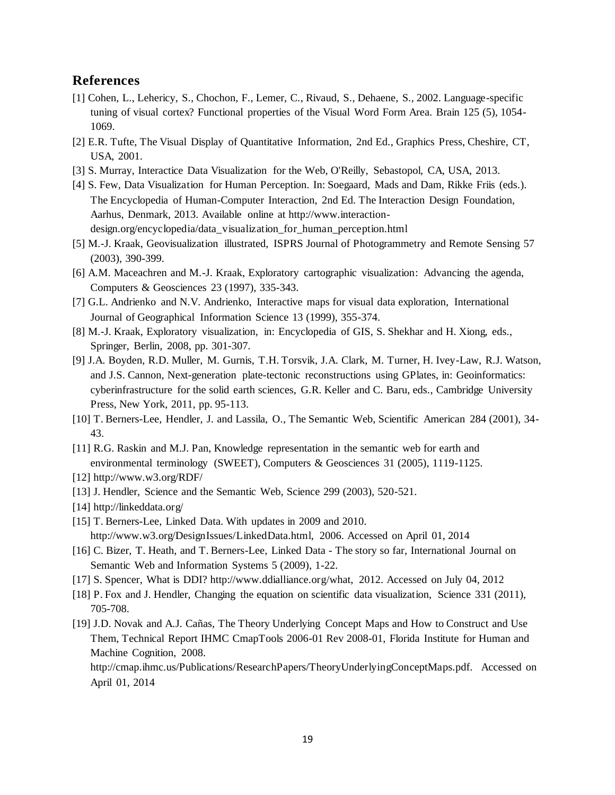#### **References**

- [1] Cohen, L., Lehericy, S., Chochon, F., Lemer, C., Rivaud, S., Dehaene, S., 2002. Language-specific tuning of visual cortex? Functional properties of the Visual Word Form Area. Brain 125 (5), 1054- 1069.
- [2] E.R. Tufte, The Visual Display of Quantitative Information, 2nd Ed., Graphics Press, Cheshire, CT, USA, 2001.
- [3] S. Murray, Interactice Data Visualization for the Web, O'Reilly, Sebastopol, CA, USA, 2013.
- [4] S. Few, Data Visualization for Human Perception. In: Soegaard, Mads and Dam, Rikke Friis (eds.). The Encyclopedia of Human-Computer Interaction, 2nd Ed. The Interaction Design Foundation, Aarhus, Denmark, 2013. Available online at http://www.interactiondesign.org/encyclopedia/data\_visualization\_for\_human\_perception.html
- [5] M.-J. Kraak, Geovisualization illustrated, ISPRS Journal of Photogrammetry and Remote Sensing 57 (2003), 390-399.
- [6] A.M. Maceachren and M.-J. Kraak, Exploratory cartographic visualization: Advancing the agenda, Computers & Geosciences 23 (1997), 335-343.
- [7] G.L. Andrienko and N.V. Andrienko, Interactive maps for visual data exploration, International Journal of Geographical Information Science 13 (1999), 355-374.
- [8] M.-J. Kraak, Exploratory visualization, in: Encyclopedia of GIS, S. Shekhar and H. Xiong, eds., Springer, Berlin, 2008, pp. 301-307.
- [9] J.A. Boyden, R.D. Muller, M. Gurnis, T.H. Torsvik, J.A. Clark, M. Turner, H. Ivey-Law, R.J. Watson, and J.S. Cannon, Next-generation plate-tectonic reconstructions using GPlates, in: Geoinformatics: cyberinfrastructure for the solid earth sciences, G.R. Keller and C. Baru, eds., Cambridge University Press, New York, 2011, pp. 95-113.
- [10] T. Berners-Lee, Hendler, J. and Lassila, O., The Semantic Web, Scientific American 284 (2001), 34- 43.
- [11] R.G. Raskin and M.J. Pan, Knowledge representation in the semantic web for earth and environmental terminology (SWEET), Computers & Geosciences 31 (2005), 1119-1125.
- [12] http://www.w3.org/RDF/
- [13] J. Hendler, Science and the Semantic Web, Science 299 (2003), 520-521.
- [14] http://linkeddata.org/
- [15] T. Berners-Lee, Linked Data. With updates in 2009 and 2010. http://www.w3.org/DesignIssues/LinkedData.html, 2006. Accessed on April 01, 2014
- [16] C. Bizer, T. Heath, and T. Berners-Lee, Linked Data The story so far, International Journal on Semantic Web and Information Systems 5 (2009), 1-22.
- [17] S. Spencer, What is DDI? http://www.ddialliance.org/what, 2012. Accessed on July 04, 2012
- [18] P. Fox and J. Hendler, Changing the equation on scientific data visualization, Science 331 (2011), 705-708.
- [19] J.D. Novak and A.J. Cañas, The Theory Underlying Concept Maps and How to Construct and Use Them, Technical Report IHMC CmapTools 2006-01 Rev 2008-01, Florida Institute for Human and Machine Cognition, 2008.

http://cmap.ihmc.us/Publications/ResearchPapers/TheoryUnderlyingConceptMaps.pdf. Accessed on April 01, 2014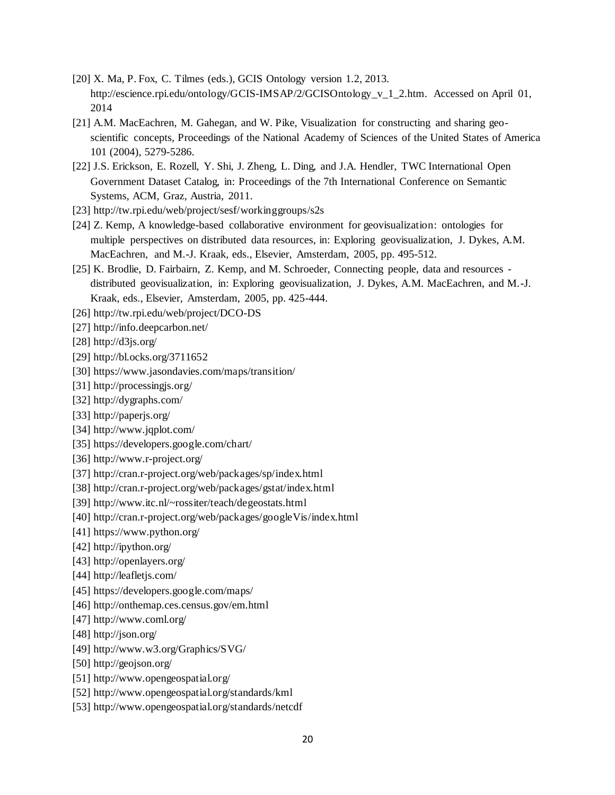- [20] X. Ma, P. Fox, C. Tilmes (eds.), GCIS Ontology version 1.2, 2013. http://escience.rpi.edu/ontology/GCIS-IMSAP/2/GCISOntology\_v\_1\_2.htm. Accessed on April 01, 2014
- [21] A.M. MacEachren, M. Gahegan, and W. Pike, Visualization for constructing and sharing geoscientific concepts, Proceedings of the National Academy of Sciences of the United States of America 101 (2004), 5279-5286.
- [22] J.S. Erickson, E. Rozell, Y. Shi, J. Zheng, L. Ding, and J.A. Hendler, TWC International Open Government Dataset Catalog, in: Proceedings of the 7th International Conference on Semantic Systems, ACM, Graz, Austria, 2011.
- [23] http://tw.rpi.edu/web/project/sesf/workinggroups/s2s
- [24] Z. Kemp, A knowledge-based collaborative environment for geovisualization: ontologies for multiple perspectives on distributed data resources, in: Exploring geovisualization, J. Dykes, A.M. MacEachren, and M.-J. Kraak, eds., Elsevier, Amsterdam, 2005, pp. 495-512.
- [25] K. Brodlie, D. Fairbairn, Z. Kemp, and M. Schroeder, Connecting people, data and resources distributed geovisualization, in: Exploring geovisualization, J. Dykes, A.M. MacEachren, and M.-J. Kraak, eds., Elsevier, Amsterdam, 2005, pp. 425-444.
- [26] http://tw.rpi.edu/web/project/DCO-DS
- [27] http://info.deepcarbon.net/
- [28] http://d3js.org/
- [29] http://bl.ocks.org/3711652
- [30] https://www.jasondavies.com/maps/transition/
- [31] http://processingjs.org/
- [32] http://dygraphs.com/
- [33] http://paperjs.org/
- [34] http://www.jqplot.com/
- [35] https://developers.google.com/chart/
- [36] http://www.r-project.org/
- [37] http://cran.r-project.org/web/packages/sp/index.html
- [38] http://cran.r-project.org/web/packages/gstat/index.html
- [39] http://www.itc.nl/~rossiter/teach/degeostats.html
- [40] http://cran.r-project.org/web/packages/googleVis/index.html
- [41] https://www.python.org/
- [42] http://ipython.org/
- [43] http://openlayers.org/
- [44] http://leafletjs.com/
- [45] https://developers.google.com/maps/
- [46] http://onthemap.ces.census.gov/em.html
- [47] http://www.coml.org/
- [48] http://json.org/
- [49] http://www.w3.org/Graphics/SVG/
- [50] http://geojson.org/
- [51] http://www.opengeospatial.org/
- [52] http://www.opengeospatial.org/standards/kml
- [53] http://www.opengeospatial.org/standards/netcdf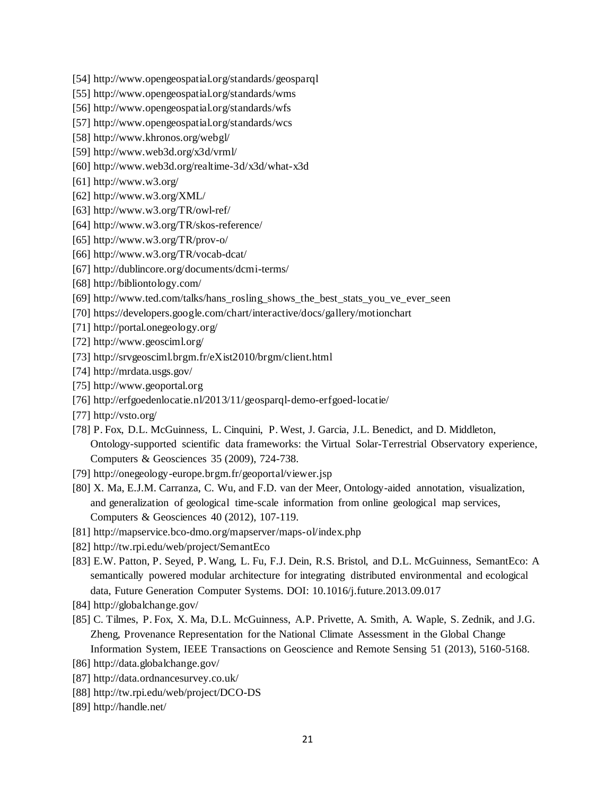- [54] http://www.opengeospatial.org/standards/geosparql
- [55] http://www.opengeospatial.org/standards/wms
- [56] http://www.opengeospatial.org/standards/wfs
- [57] http://www.opengeospatial.org/standards/wcs
- [58] http://www.khronos.org/webgl/
- [59] http://www.web3d.org/x3d/vrml/
- [60] http://www.web3d.org/realtime-3d/x3d/what-x3d
- [61] http://www.w3.org/
- [62] http://www.w3.org/XML/
- [63] http://www.w3.org/TR/owl-ref/
- [64] http://www.w3.org/TR/skos-reference/
- [65] http://www.w3.org/TR/prov-o/
- [66] http://www.w3.org/TR/vocab-dcat/
- [67] http://dublincore.org/documents/dcmi-terms/
- [68] http://bibliontology.com/
- [69] http://www.ted.com/talks/hans\_rosling\_shows\_the\_best\_stats\_you\_ve\_ever\_seen
- [70] https://developers.google.com/chart/interactive/docs/gallery/motionchart
- [71] http://portal.onegeology.org/
- [72] http://www.geosciml.org/
- [73] http://srvgeosciml.brgm.fr/eXist2010/brgm/client.html
- [74] http://mrdata.usgs.gov/
- [75] http://www.geoportal.org
- [76] http://erfgoedenlocatie.nl/2013/11/geosparql-demo-erfgoed-locatie/
- [77] http://vsto.org/
- [78] P. Fox, D.L. McGuinness, L. Cinquini, P. West, J. Garcia, J.L. Benedict, and D. Middleton, Ontology-supported scientific data frameworks: the Virtual Solar-Terrestrial Observatory experience, Computers & Geosciences 35 (2009), 724-738.
- [79] http://onegeology-europe.brgm.fr/geoportal/viewer.jsp
- [80] X. Ma, E.J.M. Carranza, C. Wu, and F.D. van der Meer, Ontology-aided annotation, visualization, and generalization of geological time-scale information from online geological map services, Computers & Geosciences 40 (2012), 107-119.
- [81] http://mapservice.bco-dmo.org/mapserver/maps-ol/index.php
- [82] http://tw.rpi.edu/web/project/SemantEco
- [83] E.W. Patton, P. Seyed, P. Wang, L. Fu, F.J. Dein, R.S. Bristol, and D.L. McGuinness, SemantEco: A semantically powered modular architecture for integrating distributed environmental and ecological data, Future Generation Computer Systems. DOI: 10.1016/j.future.2013.09.017
- [84] http://globalchange.gov/
- [85] C. Tilmes, P. Fox, X. Ma, D.L. McGuinness, A.P. Privette, A. Smith, A. Waple, S. Zednik, and J.G. Zheng, Provenance Representation for the National Climate Assessment in the Global Change Information System, IEEE Transactions on Geoscience and Remote Sensing 51 (2013), 5160-5168.
- [86] http://data.globalchange.gov/
- [87] http://data.ordnancesurvey.co.uk/
- [88] http://tw.rpi.edu/web/project/DCO-DS
- [89] http://handle.net/